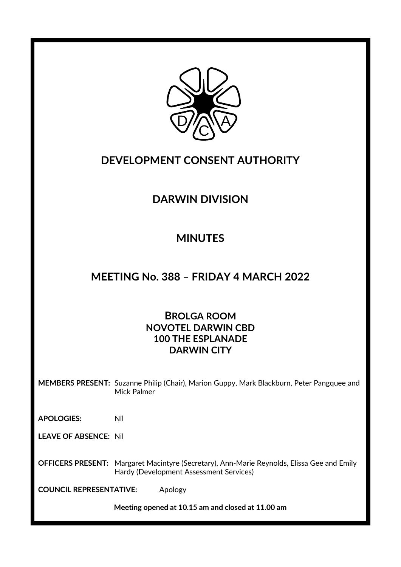

### **DEVELOPMENT CONSENT AUTHORITY**

# **DARWIN DIVISION**

# **MINUTES**

### **MEETING No. 388 – FRIDAY 4 MARCH 2022**

### **BROLGA ROOM NOVOTEL DARWIN CBD 100 THE ESPLANADE DARWIN CITY**

**MEMBERS PRESENT:** Suzanne Philip (Chair), Marion Guppy, Mark Blackburn, Peter Pangquee and Mick Palmer

**APOLOGIES:** Nil

**LEAVE OF ABSENCE:** Nil

**OFFICERS PRESENT:** Margaret Macintyre (Secretary), Ann-Marie Reynolds, Elissa Gee and Emily Hardy (Development Assessment Services)

**COUNCIL REPRESENTATIVE:** Apology

**Meeting opened at 10.15 am and closed at 11.00 am**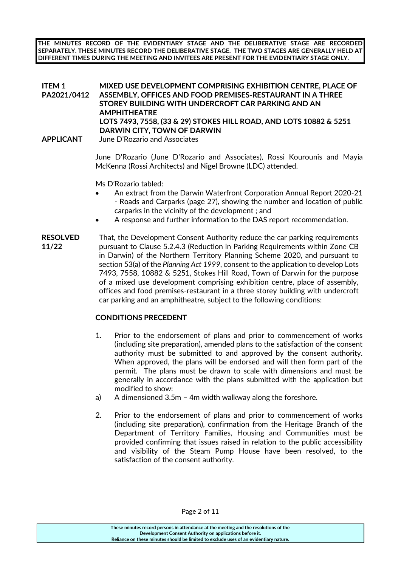**THE MINUTES RECORD OF THE EVIDENTIARY STAGE AND THE DELIBERATIVE STAGE ARE RECORDED SEPARATELY. THESE MINUTES RECORD THE DELIBERATIVE STAGE. THE TWO STAGES ARE GENERALLY HELD AT DIFFERENT TIMES DURING THE MEETING AND INVITEES ARE PRESENT FOR THE EVIDENTIARY STAGE ONLY.**

#### **ITEM 1 PA2021/0412 MIXED USE DEVELOPMENT COMPRISING EXHIBITION CENTRE, PLACE OF ASSEMBLY, OFFICES AND FOOD PREMISES-RESTAURANT IN A THREE STOREY BUILDING WITH UNDERCROFT CAR PARKING AND AN AMPHITHEATRE LOTS 7493, 7558, (33 & 29) STOKES HILL ROAD, AND LOTS 10882 & 5251 DARWIN CITY, TOWN OF DARWIN APPLICANT** June D'Rozario and Associates

June D'Rozario (June D'Rozario and Associates), Rossi Kourounis and Mayia McKenna (Rossi Architects) and Nigel Browne (LDC) attended.

Ms D'Rozario tabled:

- An extract from the Darwin Waterfront Corporation Annual Report 2020-21 - Roads and Carparks (page 27), showing the number and location of public carparks in the vicinity of the development ; and
- A response and further information to the DAS report recommendation.
- **RESOLVED** That, the Development Consent Authority reduce the car parking requirements pursuant to Clause 5.2.4.3 (Reduction in Parking Requirements within Zone CB in Darwin) of the Northern Territory Planning Scheme 2020, and pursuant to section 53(a) of the *Planning Act 1999*, consent to the application to develop Lots 7493, 7558, 10882 & 5251, Stokes Hill Road, Town of Darwin for the purpose of a mixed use development comprising exhibition centre, place of assembly, offices and food premises-restaurant in a three storey building with undercroft car parking and an amphitheatre, subject to the following conditions: **11/22**

### **CONDITIONS PRECEDENT**

- 1. Prior to the endorsement of plans and prior to commencement of works (including site preparation), amended plans to the satisfaction of the consent authority must be submitted to and approved by the consent authority. When approved, the plans will be endorsed and will then form part of the permit. The plans must be drawn to scale with dimensions and must be generally in accordance with the plans submitted with the application but modified to show:
- a) A dimensioned 3.5m 4m width walkway along the foreshore.
- 2. Prior to the endorsement of plans and prior to commencement of works (including site preparation), confirmation from the Heritage Branch of the Department of Territory Families, Housing and Communities must be provided confirming that issues raised in relation to the public accessibility and visibility of the Steam Pump House have been resolved, to the satisfaction of the consent authority.

Page 2 of 11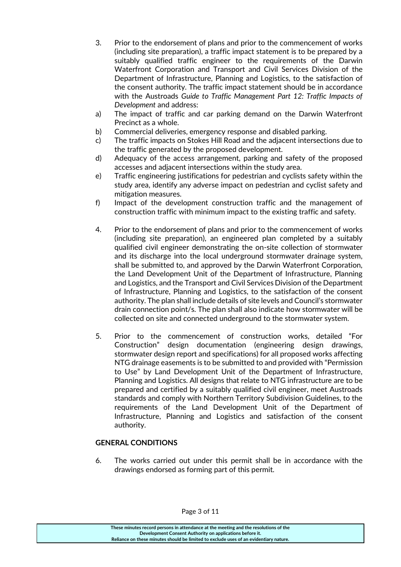- 3. Prior to the endorsement of plans and prior to the commencement of works (including site preparation), a traffic impact statement is to be prepared by a suitably qualified traffic engineer to the requirements of the Darwin Waterfront Corporation and Transport and Civil Services Division of the Department of Infrastructure, Planning and Logistics, to the satisfaction of the consent authority. The traffic impact statement should be in accordance with the Austroads *Guide to Traffic Management Part 12: Traffic Impacts of Development* and address:
- a) The impact of traffic and car parking demand on the Darwin Waterfront Precinct as a whole.
- b) Commercial deliveries, emergency response and disabled parking.
- c) The traffic impacts on Stokes Hill Road and the adjacent intersections due to the traffic generated by the proposed development.
- d) Adequacy of the access arrangement, parking and safety of the proposed accesses and adjacent intersections within the study area.
- e) Traffic engineering justifications for pedestrian and cyclists safety within the study area, identify any adverse impact on pedestrian and cyclist safety and mitigation measures.
- f) Impact of the development construction traffic and the management of construction traffic with minimum impact to the existing traffic and safety.
- 4. Prior to the endorsement of plans and prior to the commencement of works (including site preparation), an engineered plan completed by a suitably qualified civil engineer demonstrating the on-site collection of stormwater and its discharge into the local underground stormwater drainage system, shall be submitted to, and approved by the Darwin Waterfront Corporation, the Land Development Unit of the Department of Infrastructure, Planning and Logistics, and the Transport and Civil Services Division of the Department of Infrastructure, Planning and Logistics, to the satisfaction of the consent authority. The plan shall include details of site levels and Council's stormwater drain connection point/s. The plan shall also indicate how stormwater will be collected on site and connected underground to the stormwater system.
- 5. Prior to the commencement of construction works, detailed "For Construction" design documentation (engineering design drawings, stormwater design report and specifications) for all proposed works affecting NTG drainage easements is to be submitted to and provided with "Permission to Use" by Land Development Unit of the Department of Infrastructure, Planning and Logistics. All designs that relate to NTG infrastructure are to be prepared and certified by a suitably qualified civil engineer, meet Austroads standards and comply with Northern Territory Subdivision Guidelines, to the requirements of the Land Development Unit of the Department of Infrastructure, Planning and Logistics and satisfaction of the consent authority.

### **GENERAL CONDITIONS**

6. The works carried out under this permit shall be in accordance with the drawings endorsed as forming part of this permit.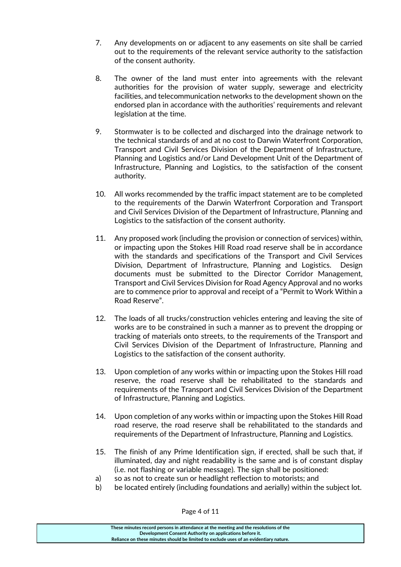- 7. Any developments on or adjacent to any easements on site shall be carried out to the requirements of the relevant service authority to the satisfaction of the consent authority.
- 8. The owner of the land must enter into agreements with the relevant authorities for the provision of water supply, sewerage and electricity facilities, and telecommunication networks to the development shown on the endorsed plan in accordance with the authorities' requirements and relevant legislation at the time.
- 9. Stormwater is to be collected and discharged into the drainage network to the technical standards of and at no cost to Darwin Waterfront Corporation, Transport and Civil Services Division of the Department of Infrastructure, Planning and Logistics and/or Land Development Unit of the Department of Infrastructure, Planning and Logistics, to the satisfaction of the consent authority.
- 10. All works recommended by the traffic impact statement are to be completed to the requirements of the Darwin Waterfront Corporation and Transport and Civil Services Division of the Department of Infrastructure, Planning and Logistics to the satisfaction of the consent authority.
- 11. Any proposed work (including the provision or connection of services) within, or impacting upon the Stokes Hill Road road reserve shall be in accordance with the standards and specifications of the Transport and Civil Services Division, Department of Infrastructure, Planning and Logistics. Design documents must be submitted to the Director Corridor Management, Transport and Civil Services Division for Road Agency Approval and no works are to commence prior to approval and receipt of a "Permit to Work Within a Road Reserve".
- 12. The loads of all trucks/construction vehicles entering and leaving the site of works are to be constrained in such a manner as to prevent the dropping or tracking of materials onto streets, to the requirements of the Transport and Civil Services Division of the Department of Infrastructure, Planning and Logistics to the satisfaction of the consent authority.
- 13. Upon completion of any works within or impacting upon the Stokes Hill road reserve, the road reserve shall be rehabilitated to the standards and requirements of the Transport and Civil Services Division of the Department of Infrastructure, Planning and Logistics.
- 14. Upon completion of any works within or impacting upon the Stokes Hill Road road reserve, the road reserve shall be rehabilitated to the standards and requirements of the Department of Infrastructure, Planning and Logistics.
- 15. The finish of any Prime Identification sign, if erected, shall be such that, if illuminated, day and night readability is the same and is of constant display (i.e. not flashing or variable message). The sign shall be positioned:
- a) so as not to create sun or headlight reflection to motorists; and
- b) be located entirely (including foundations and aerially) within the subject lot.

**These minutes record persons in attendance at the meeting and the resolutions of the Development Consent Authority on applications before it. Reliance on these minutes should be limited to exclude uses of an evidentiary nature.**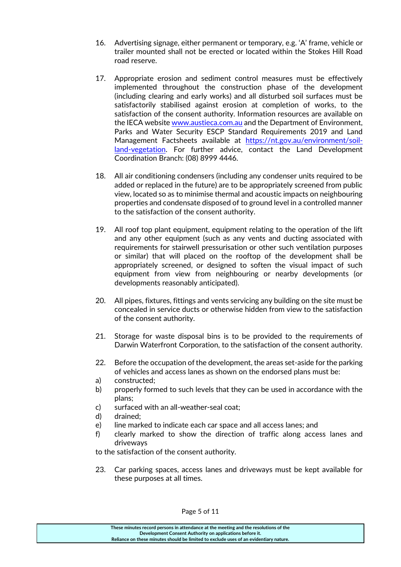- 16. Advertising signage, either permanent or temporary, e.g. 'A' frame, vehicle or trailer mounted shall not be erected or located within the Stokes Hill Road road reserve.
- 17. Appropriate erosion and sediment control measures must be effectively implemented throughout the construction phase of the development (including clearing and early works) and all disturbed soil surfaces must be satisfactorily stabilised against erosion at completion of works, to the satisfaction of the consent authority. Information resources are available on the IECA website [www.austieca.com.au](http://www.austieca.com.au/) and the Department of Environment, Parks and Water Security ESCP Standard Requirements 2019 and Land Management Factsheets available at [https://nt.gov.au/environment/soil](https://nt.gov.au/environment/soil-land-vegetation)[land-vegetation.](https://nt.gov.au/environment/soil-land-vegetation) For further advice, contact the Land Development Coordination Branch: (08) 8999 4446.
- 18. All air conditioning condensers (including any condenser units required to be added or replaced in the future) are to be appropriately screened from public view, located so as to minimise thermal and acoustic impacts on neighbouring properties and condensate disposed of to ground level in a controlled manner to the satisfaction of the consent authority.
- 19. All roof top plant equipment, equipment relating to the operation of the lift and any other equipment (such as any vents and ducting associated with requirements for stairwell pressurisation or other such ventilation purposes or similar) that will placed on the rooftop of the development shall be appropriately screened, or designed to soften the visual impact of such equipment from view from neighbouring or nearby developments (or developments reasonably anticipated).
- 20. All pipes, fixtures, fittings and vents servicing any building on the site must be concealed in service ducts or otherwise hidden from view to the satisfaction of the consent authority.
- 21. Storage for waste disposal bins is to be provided to the requirements of Darwin Waterfront Corporation, to the satisfaction of the consent authority.
- 22. Before the occupation of the development, the areas set-aside for the parking of vehicles and access lanes as shown on the endorsed plans must be:
- a) constructed;
- b) properly formed to such levels that they can be used in accordance with the plans;
- c) surfaced with an all-weather-seal coat;
- d) drained;
- e) line marked to indicate each car space and all access lanes; and
- f) clearly marked to show the direction of traffic along access lanes and driveways

to the satisfaction of the consent authority.

23. Car parking spaces, access lanes and driveways must be kept available for these purposes at all times.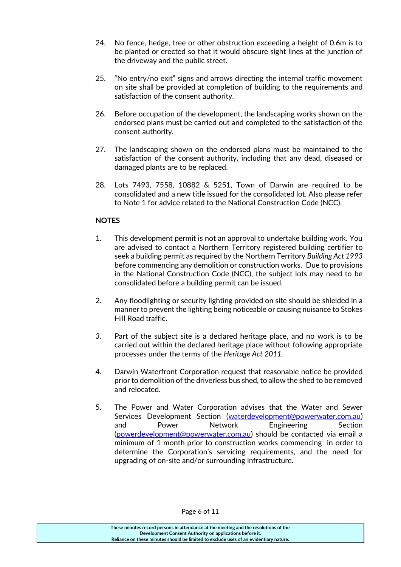- 24. No fence, hedge, tree or other obstruction exceeding a height of 0.6m is to be planted or erected so that it would obscure sight lines at the junction of the driveway and the public street.
- 25. "No entry/no exit" signs and arrows directing the internal traffic movement on site shall be provided at completion of building to the requirements and satisfaction of the consent authority.
- 26. Before occupation of the development, the landscaping works shown on the endorsed plans must be carried out and completed to the satisfaction of the consent authority.
- 27. The landscaping shown on the endorsed plans must be maintained to the satisfaction of the consent authority, including that any dead, diseased or damaged plants are to be replaced.
- 28. Lots 7493, 7558, 10882 & 5251, Town of Darwin are required to be consolidated and a new title issued for the consolidated lot. Also please refer to Note 1 for advice related to the National Construction Code (NCC).

### **NOTES**

- 1. This development permit is not an approval to undertake building work. You are advised to contact a Northern Territory registered building certifier to seek a building permit as required by the Northern Territory *Building Act 1993*  before commencing any demolition or construction works. Due to provisions in the National Construction Code (NCC), the subject lots may need to be consolidated before a building permit can be issued.
- 2. Any floodlighting or security lighting provided on site should be shielded in a manner to prevent the lighting being noticeable or causing nuisance to Stokes Hill Road traffic.
- *3.* Part of the subject site is a declared heritage place, and no work is to be carried out within the declared heritage place without following appropriate processes under the terms of the *Heritage Act 2011.*
- 4. Darwin Waterfront Corporation request that reasonable notice be provided prior to demolition of the driverless bus shed, to allow the shed to be removed and relocated.
- 5. The Power and Water Corporation advises that the Water and Sewer Services Development Section [\(waterdevelopment@powerwater.com.au\)](mailto:waterdevelopment@powerwater.com.au) and Power Network Engineering Section [\(powerdevelopment@powerwater.com.au\)](mailto:powerdevelopment@powerwater.com.au) should be contacted via email a minimum of 1 month prior to construction works commencing in order to determine the Corporation's servicing requirements, and the need for upgrading of on-site and/or surrounding infrastructure.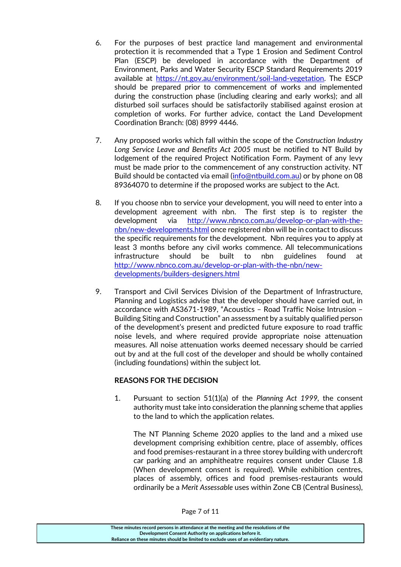- 6. For the purposes of best practice land management and environmental protection it is recommended that a Type 1 Erosion and Sediment Control Plan (ESCP) be developed in accordance with the Department of Environment, Parks and Water Security ESCP Standard Requirements 2019 available at [https://nt.gov.au/environment/soil-land-vegetation.](https://nt.gov.au/environment/soil-land-vegetation) The ESCP should be prepared prior to commencement of works and implemented during the construction phase (including clearing and early works); and all disturbed soil surfaces should be satisfactorily stabilised against erosion at completion of works. For further advice, contact the Land Development Coordination Branch: (08) 8999 4446.
- 7. Any proposed works which fall within the scope of the *Construction Industry Long Service Leave and Benefits Act 2005* must be notified to NT Build by lodgement of the required Project Notification Form. Payment of any levy must be made prior to the commencement of any construction activity. NT Build should be contacted via email [\(info@ntbuild.com.au\)](mailto:info@ntbuild.com.au) or by phone on 08 89364070 to determine if the proposed works are subject to the Act.
- 8. If you choose nbn to service your development, you will need to enter into a development agreement with nbn. The first step is to register the development via [http://www.nbnco.com.au/develop-or-plan-with-the](http://www.nbnco.com.au/develop-or-plan-with-the-nbn/new-developments.html)[nbn/new-developments.html](http://www.nbnco.com.au/develop-or-plan-with-the-nbn/new-developments.html) once registered nbn will be in contact to discuss the specific requirements for the development. Nbn requires you to apply at least 3 months before any civil works commence. All telecommunications infrastructure should be built to nbn guidelines found at [http://www.nbnco.com.au/develop-or-plan-with-the-nbn/new](http://www.nbnco.com.au/develop-or-plan-with-the-nbn/new-developments/builders-designers.html)[developments/builders-designers.html](http://www.nbnco.com.au/develop-or-plan-with-the-nbn/new-developments/builders-designers.html)
- 9. Transport and Civil Services Division of the Department of Infrastructure, Planning and Logistics advise that the developer should have carried out, in accordance with AS3671-1989, "Acoustics – Road Traffic Noise Intrusion – Building Siting and Construction" an assessment by a suitably qualified person of the development's present and predicted future exposure to road traffic noise levels, and where required provide appropriate noise attenuation measures. All noise attenuation works deemed necessary should be carried out by and at the full cost of the developer and should be wholly contained (including foundations) within the subject lot.

### **REASONS FOR THE DECISION**

1. Pursuant to section 51(1)(a) of the *Planning Act 1999,* the consent authority must take into consideration the planning scheme that applies to the land to which the application relates.

The NT Planning Scheme 2020 applies to the land and a mixed use development comprising exhibition centre, place of assembly, offices and food premises-restaurant in a three storey building with undercroft car parking and an amphitheatre requires consent under Clause 1.8 (When development consent is required). While exhibition centres, places of assembly, offices and food premises-restaurants would ordinarily be a *Merit Assessable* uses within Zone CB (Central Business),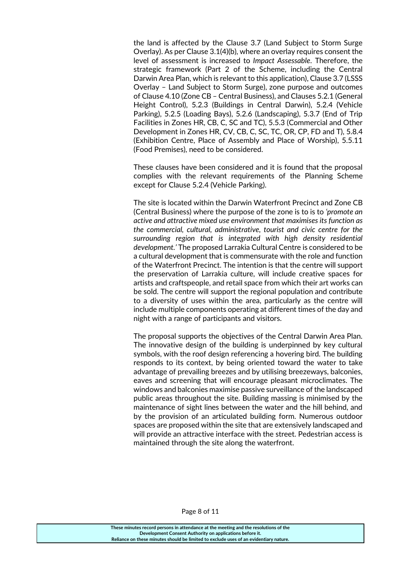the land is affected by the Clause 3.7 (Land Subject to Storm Surge Overlay). As per Clause 3.1(4)(b), where an overlay requires consent the level of assessment is increased to *Impact Assessable*. Therefore, the strategic framework (Part 2 of the Scheme, including the Central Darwin Area Plan, which is relevant to this application), Clause 3.7 (LSSS Overlay – Land Subject to Storm Surge), zone purpose and outcomes of Clause 4.10 (Zone CB – Central Business), and Clauses 5.2.1 (General Height Control), 5.2.3 (Buildings in Central Darwin), 5.2.4 (Vehicle Parking), 5.2.5 (Loading Bays), 5.2.6 (Landscaping), 5.3.7 (End of Trip Facilities in Zones HR, CB, C, SC and TC), 5.5.3 (Commercial and Other Development in Zones HR, CV, CB, C, SC, TC, OR, CP, FD and T), 5.8.4 (Exhibition Centre, Place of Assembly and Place of Worship), 5.5.11 (Food Premises), need to be considered.

These clauses have been considered and it is found that the proposal complies with the relevant requirements of the Planning Scheme except for Clause 5.2.4 (Vehicle Parking).

The site is located within the Darwin Waterfront Precinct and Zone CB (Central Business) where the purpose of the zone is to is to *'promote an active and attractive mixed use environment that maximises its function as the commercial, cultural, administrative, tourist and civic centre for the surrounding region that is integrated with high density residential development.'* The proposed Larrakia Cultural Centre is considered to be a cultural development that is commensurate with the role and function of the Waterfront Precinct. The intention is that the centre will support the preservation of Larrakia culture, will include creative spaces for artists and craftspeople, and retail space from which their art works can be sold. The centre will support the regional population and contribute to a diversity of uses within the area, particularly as the centre will include multiple components operating at different times of the day and night with a range of participants and visitors.

The proposal supports the objectives of the Central Darwin Area Plan. The innovative design of the building is underpinned by key cultural symbols, with the roof design referencing a hovering bird. The building responds to its context, by being oriented toward the water to take advantage of prevailing breezes and by utilising breezeways, balconies, eaves and screening that will encourage pleasant microclimates. The windows and balconies maximise passive surveillance of the landscaped public areas throughout the site. Building massing is minimised by the maintenance of sight lines between the water and the hill behind, and by the provision of an articulated building form. Numerous outdoor spaces are proposed within the site that are extensively landscaped and will provide an attractive interface with the street. Pedestrian access is maintained through the site along the waterfront.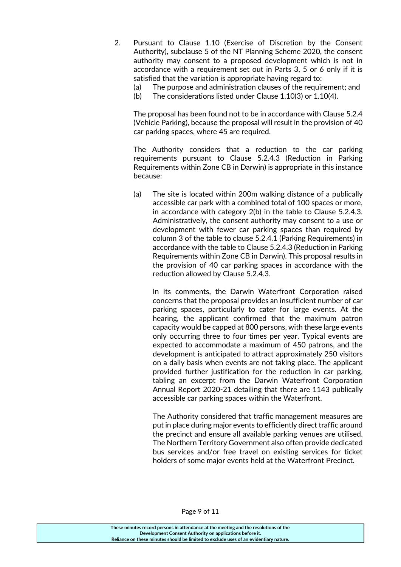- 2. Pursuant to Clause 1.10 (Exercise of Discretion by the Consent Authority), subclause 5 of the NT Planning Scheme 2020, the consent authority may consent to a proposed development which is not in accordance with a requirement set out in Parts 3, 5 or 6 only if it is satisfied that the variation is appropriate having regard to:
	- (a) The purpose and administration clauses of the requirement; and
	- (b) The considerations listed under Clause 1.10(3) or 1.10(4).

The proposal has been found not to be in accordance with Clause 5.2.4 (Vehicle Parking), because the proposal will result in the provision of 40 car parking spaces, where 45 are required.

The Authority considers that a reduction to the car parking requirements pursuant to Clause 5.2.4.3 (Reduction in Parking Requirements within Zone CB in Darwin) is appropriate in this instance because:

(a) The site is located within 200m walking distance of a publically accessible car park with a combined total of 100 spaces or more, in accordance with category 2(b) in the table to Clause 5.2.4.3. Administratively, the consent authority may consent to a use or development with fewer car parking spaces than required by column 3 of the table to clause 5.2.4.1 (Parking Requirements) in accordance with the table to Clause 5.2.4.3 (Reduction in Parking Requirements within Zone CB in Darwin). This proposal results in the provision of 40 car parking spaces in accordance with the reduction allowed by Clause 5.2.4.3.

In its comments, the Darwin Waterfront Corporation raised concerns that the proposal provides an insufficient number of car parking spaces, particularly to cater for large events. At the hearing, the applicant confirmed that the maximum patron capacity would be capped at 800 persons, with these large events only occurring three to four times per year. Typical events are expected to accommodate a maximum of 450 patrons, and the development is anticipated to attract approximately 250 visitors on a daily basis when events are not taking place. The applicant provided further justification for the reduction in car parking, tabling an excerpt from the Darwin Waterfront Corporation Annual Report 2020-21 detailing that there are 1143 publically accessible car parking spaces within the Waterfront.

The Authority considered that traffic management measures are put in place during major events to efficiently direct traffic around the precinct and ensure all available parking venues are utilised. The Northern Territory Government also often provide dedicated bus services and/or free travel on existing services for ticket holders of some major events held at the Waterfront Precinct.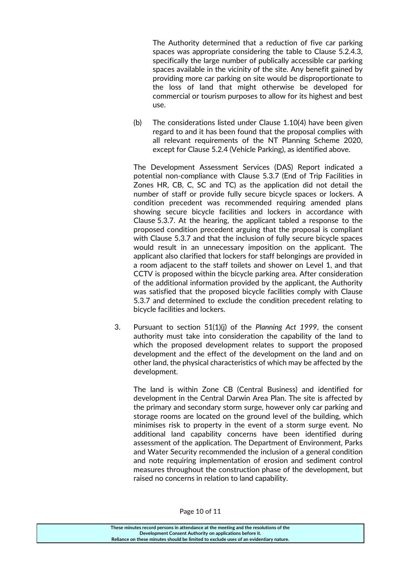The Authority determined that a reduction of five car parking spaces was appropriate considering the table to Clause 5.2.4.3, specifically the large number of publically accessible car parking spaces available in the vicinity of the site. Any benefit gained by providing more car parking on site would be disproportionate to the loss of land that might otherwise be developed for commercial or tourism purposes to allow for its highest and best use.

(b) The considerations listed under Clause 1.10(4) have been given regard to and it has been found that the proposal complies with all relevant requirements of the NT Planning Scheme 2020, except for Clause 5.2.4 (Vehicle Parking), as identified above.

The Development Assessment Services (DAS) Report indicated a potential non-compliance with Clause 5.3.7 (End of Trip Facilities in Zones HR, CB, C, SC and TC) as the application did not detail the number of staff or provide fully secure bicycle spaces or lockers. A condition precedent was recommended requiring amended plans showing secure bicycle facilities and lockers in accordance with Clause 5.3.7. At the hearing, the applicant tabled a response to the proposed condition precedent arguing that the proposal is compliant with Clause 5.3.7 and that the inclusion of fully secure bicycle spaces would result in an unnecessary imposition on the applicant. The applicant also clarified that lockers for staff belongings are provided in a room adjacent to the staff toilets and shower on Level 1, and that CCTV is proposed within the bicycle parking area. After consideration of the additional information provided by the applicant, the Authority was satisfied that the proposed bicycle facilities comply with Clause 5.3.7 and determined to exclude the condition precedent relating to bicycle facilities and lockers.

3. Pursuant to section 51(1)(j) of the *Planning Act 1999*, the consent authority must take into consideration the capability of the land to which the proposed development relates to support the proposed development and the effect of the development on the land and on other land, the physical characteristics of which may be affected by the development.

The land is within Zone CB (Central Business) and identified for development in the Central Darwin Area Plan. The site is affected by the primary and secondary storm surge, however only car parking and storage rooms are located on the ground level of the building, which minimises risk to property in the event of a storm surge event. No additional land capability concerns have been identified during assessment of the application. The Department of Environment, Parks and Water Security recommended the inclusion of a general condition and note requiring implementation of erosion and sediment control measures throughout the construction phase of the development, but raised no concerns in relation to land capability.